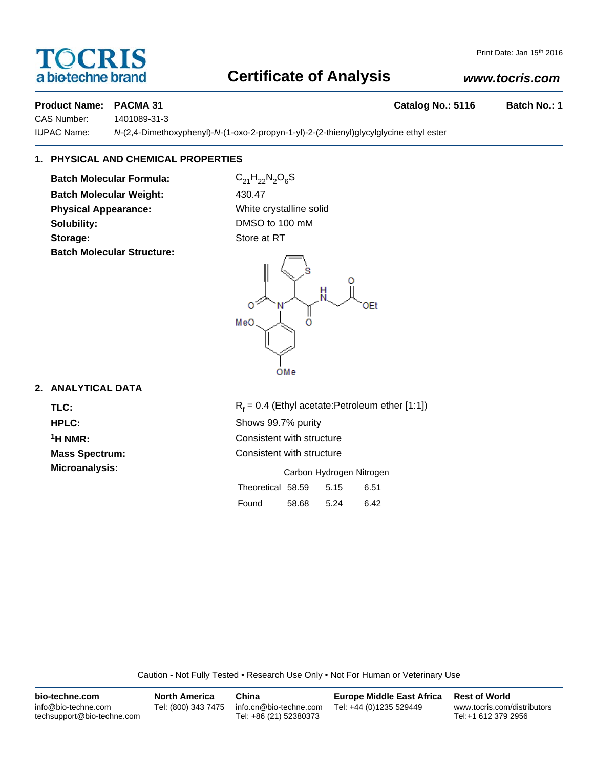## TOCRIS a biotechne brand

## **Certificate of Analysis**

## *www.tocris.com*

## **Product Name: PACMA 31 Catalog No.: 5116 Batch No.: 1**

CAS Number: 1401089-31-3 IUPAC Name: *N*-(2,4-Dimethoxyphenyl)-*N*-(1-oxo-2-propyn-1-yl)-2-(2-thienyl)glycylglycine ethyl ester

## **1. PHYSICAL AND CHEMICAL PROPERTIES**

**Batch Molecular Formula:** C<sub>21</sub>H<sub>22</sub>N<sub>2</sub>O<sub>6</sub>S **Batch Molecular Weight:** 430.47 **Physical Appearance:** White crystalline solid **Solubility:** DMSO to 100 mM **Storage:** Store at RT **Batch Molecular Structure:**



## **2. ANALYTICAL DATA**

TLC: R<sub>f</sub>

 $R_f = 0.4$  (Ethyl acetate:Petroleum ether [1:1]) **HPLC:** Shows 99.7% purity <sup>1</sup>H NMR: Consistent with structure **Mass Spectrum:** Consistent with structure **Microanalysis:** Microanalysis: Carbon Hydrogen Nitrogen

|                   |       | .    |      |  |
|-------------------|-------|------|------|--|
| Theoretical 58.59 |       | 5.15 | 6.51 |  |
| Found             | 58.68 | 5.24 | 6.42 |  |

Caution - Not Fully Tested • Research Use Only • Not For Human or Veterinary Use

| bio-techne.com                                    | <b>North America</b> | China                                            | <b>Europe Middle East Africa</b> | <b>Rest of World</b>                               |
|---------------------------------------------------|----------------------|--------------------------------------------------|----------------------------------|----------------------------------------------------|
| info@bio-techne.com<br>techsupport@bio-techne.com | Tel: (800) 343 7475  | info.cn@bio-techne.com<br>Tel: +86 (21) 52380373 | Tel: +44 (0)1235 529449          | www.tocris.com/distributors<br>Tel:+1 612 379 2956 |